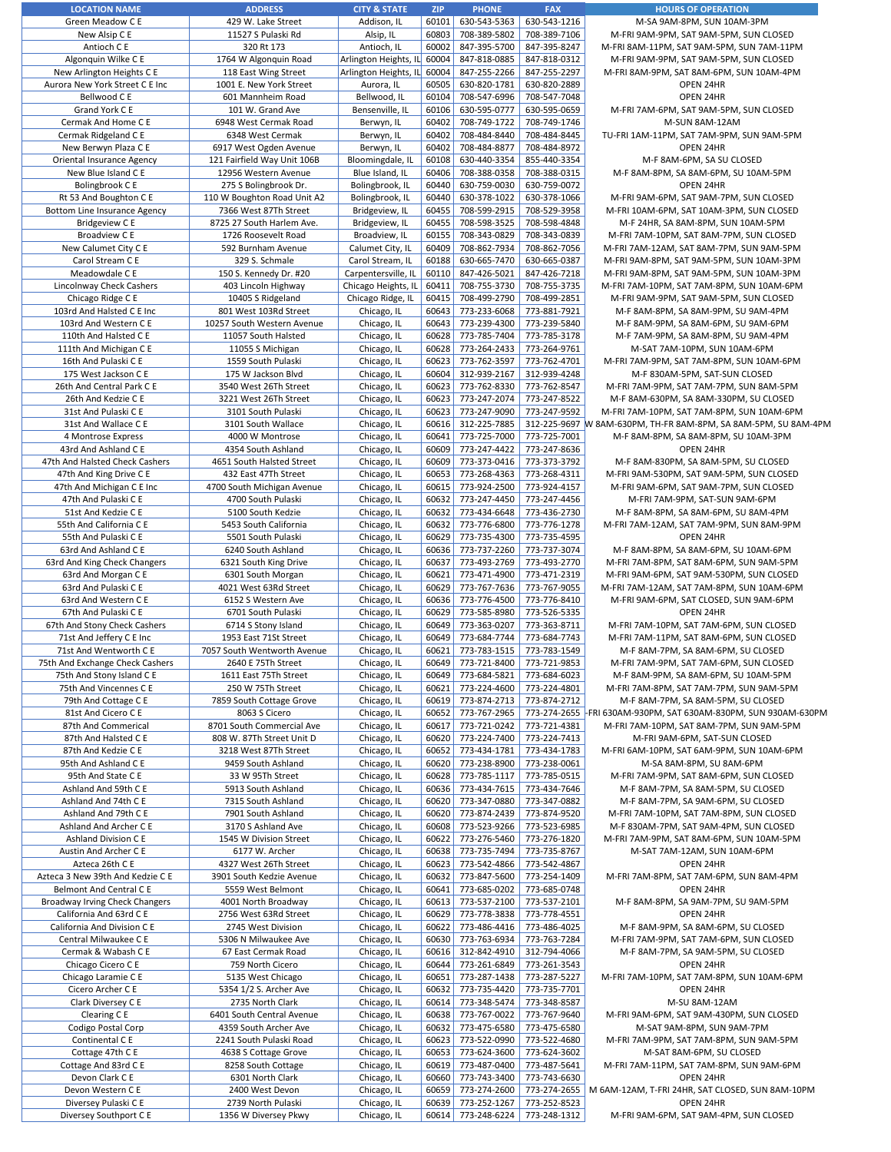| <b>LOCATION NAME</b>                | <b>ADDRESS</b>              | <b>CITY &amp; STATE</b> | <b>ZIP</b> | <b>PHONE</b>       | <b>FAX</b>   | <b>HOURS OF OPERATION</b>                                       |
|-------------------------------------|-----------------------------|-------------------------|------------|--------------------|--------------|-----------------------------------------------------------------|
| Green Meadow C E                    | 429 W. Lake Street          | Addison, IL             | 60101      | 630-543-5363       | 630-543-1216 | M-SA 9AM-8PM, SUN 10AM-3PM                                      |
| New Alsip C E                       | 11527 S Pulaski Rd          | Alsip, IL               | 60803      | 708-389-5802       | 708-389-7106 | M-FRI 9AM-9PM, SAT 9AM-5PM, SUN CLOSED                          |
| Antioch C E                         | 320 Rt 173                  | Antioch, IL             | 60002      | 847-395-5700       | 847-395-8247 | M-FRI 8AM-11PM, SAT 9AM-5PM, SUN 7AM-11PM                       |
| Algonquin Wilke C E                 | 1764 W Algonquin Road       | Arlington Heights, IL   | 60004      | 847-818-0885       | 847-818-0312 | M-FRI 9AM-9PM, SAT 9AM-5PM, SUN CLOSED                          |
| New Arlington Heights C E           | 118 East Wing Street        | Arlington Heights, IL   | 60004      | 847-255-2266       | 847-255-2297 | M-FRI 8AM-9PM, SAT 8AM-6PM, SUN 10AM-4PM                        |
| Aurora New York Street C E Inc      |                             |                         |            | 630-820-1781       |              |                                                                 |
|                                     | 1001 E. New York Street     | Aurora, IL              | 60505      |                    | 630-820-2889 | OPEN 24HR                                                       |
| Bellwood C E                        | 601 Mannheim Road           | Bellwood, IL            | 60104      | 708-547-6996       | 708-547-7048 | OPEN 24HR                                                       |
| Grand York C E                      | 101 W. Grand Ave            | Bensenville, IL         | 60106      | 630-595-0777       | 630-595-0659 | M-FRI 7AM-6PM, SAT 9AM-5PM, SUN CLOSED                          |
| Cermak And Home C E                 | 6948 West Cermak Road       | Berwyn, IL              | 60402      | 708-749-1722       | 708-749-1746 | M-SUN 8AM-12AM                                                  |
| Cermak Ridgeland C E                | 6348 West Cermak            | Berwyn, IL              | 60402      | 708-484-8440       | 708-484-8445 | TU-FRI 1AM-11PM, SAT 7AM-9PM, SUN 9AM-5PM                       |
|                                     |                             |                         |            |                    |              |                                                                 |
| New Berwyn Plaza C E                | 6917 West Ogden Avenue      | Berwyn, IL              | 60402      | 708-484-8877       | 708-484-8972 | OPEN 24HR                                                       |
| Oriental Insurance Agency           | 121 Fairfield Way Unit 106B | Bloomingdale, IL        | 60108      | 630-440-3354       | 855-440-3354 | M-F 8AM-6PM, SA SU CLOSED                                       |
| New Blue Island C E                 | 12956 Western Avenue        | Blue Island, IL         | 60406      | 708-388-0358       | 708-388-0315 | M-F 8AM-8PM, SA 8AM-6PM, SU 10AM-5PM                            |
| Bolingbrook C E                     | 275 S Bolingbrook Dr.       | Bolingbrook, IL         | 60440      | 630-759-0030       | 630-759-0072 | OPEN 24HR                                                       |
| Rt 53 And Boughton C E              | 110 W Boughton Road Unit A2 | Bolingbrook, IL         | 60440      | 630-378-1022       | 630-378-1066 | M-FRI 9AM-6PM, SAT 9AM-7PM, SUN CLOSED                          |
|                                     |                             |                         |            |                    |              |                                                                 |
| <b>Bottom Line Insurance Agency</b> | 7366 West 87Th Street       | Bridgeview, IL          | 60455      | 708-599-2915       | 708-529-3958 | M-FRI 10AM-6PM, SAT 10AM-3PM, SUN CLOSED                        |
| <b>Bridgeview CE</b>                | 8725 27 South Harlem Ave.   | Bridgeview, IL          | 60455      | 708-598-3525       | 708-598-4848 | M-F 24HR, SA 8AM-8PM, SUN 10AM-5PM                              |
| Broadview C E                       | 1726 Roosevelt Road         | Broadview, IL           | 60155      | 708-343-0829       | 708-343-0839 | M-FRI 7AM-10PM, SAT 8AM-7PM, SUN CLOSED                         |
| New Calumet City C E                | 592 Burnham Avenue          | Calumet City, IL        | 60409      | 708-862-7934       | 708-862-7056 | M-FRI 7AM-12AM, SAT 8AM-7PM, SUN 9AM-5PM                        |
| Carol Stream C E                    | 329 S. Schmale              | Carol Stream, IL        | 60188      | 630-665-7470       | 630-665-0387 | M-FRI 9AM-8PM, SAT 9AM-5PM, SUN 10AM-3PM                        |
|                                     |                             |                         | 60110      | 847-426-5021       |              |                                                                 |
| Meadowdale C E                      | 150 S. Kennedy Dr. #20      | Carpentersville, IL     |            |                    | 847-426-7218 | M-FRI 9AM-8PM, SAT 9AM-5PM, SUN 10AM-3PM                        |
| Lincolnway Check Cashers            | 403 Lincoln Highway         | Chicago Heights, IL     | 60411      | 708-755-3730       | 708-755-3735 | M-FRI 7AM-10PM, SAT 7AM-8PM, SUN 10AM-6PM                       |
| Chicago Ridge C E                   | 10405 S Ridgeland           | Chicago Ridge, IL       | 60415      | 708-499-2790       | 708-499-2851 | M-FRI 9AM-9PM, SAT 9AM-5PM, SUN CLOSED                          |
| 103rd And Halsted C E Inc           | 801 West 103Rd Street       | Chicago, IL             | 60643      | 773-233-6068       | 773-881-7921 | M-F 8AM-8PM, SA 8AM-9PM, SU 9AM-4PM                             |
| 103rd And Western C E               | 10257 South Western Avenue  | Chicago, IL             | 60643      | 773-239-4300       | 773-239-5840 | M-F 8AM-9PM, SA 8AM-6PM, SU 9AM-6PM                             |
|                                     |                             |                         |            |                    |              |                                                                 |
| 110th And Halsted C E               | 11057 South Halsted         | Chicago, IL             | 60628      | 773-785-7404       | 773-785-3178 | M-F 7AM-9PM, SA 8AM-8PM, SU 9AM-4PM                             |
| 111th And Michigan C E              | 11055 S Michigan            | Chicago, IL             | 60628      | 773-264-2433       | 773-264-9761 | M-SAT 7AM-10PM, SUN 10AM-6PM                                    |
| 16th And Pulaski C E                | 1559 South Pulaski          | Chicago, IL             | 60623      | 773-762-3597       | 773-762-4701 | M-FRI 7AM-9PM, SAT 7AM-8PM, SUN 10AM-6PM                        |
| 175 West Jackson C E                | 175 W Jackson Blvd          | Chicago, IL             | 60604      | 312-939-2167       | 312-939-4248 | M-F 830AM-5PM, SAT-SUN CLOSED                                   |
| 26th And Central Park C E           | 3540 West 26Th Street       | Chicago, IL             | 60623      | 773-762-8330       | 773-762-8547 | M-FRI 7AM-9PM, SAT 7AM-7PM, SUN 8AM-5PM                         |
|                                     |                             |                         |            |                    |              |                                                                 |
| 26th And Kedzie C E                 | 3221 West 26Th Street       | Chicago, IL             | 60623      | 773-247-2074       | 773-247-8522 | M-F 8AM-630PM, SA 8AM-330PM, SU CLOSED                          |
| 31st And Pulaski C E                | 3101 South Pulaski          | Chicago, IL             | 60623      | 773-247-9090       | 773-247-9592 | M-FRI 7AM-10PM, SAT 7AM-8PM, SUN 10AM-6PM                       |
| 31st And Wallace C E                | 3101 South Wallace          | Chicago, IL             | 60616      | 312-225-7885       |              | 312-225-9697 W 8AM-630PM, TH-FR 8AM-8PM, SA 8AM-5PM, SU 8AM-4PM |
| 4 Montrose Express                  | 4000 W Montrose             | Chicago, IL             | 60641      | 773-725-7000       | 773-725-7001 | M-F 8AM-8PM, SA 8AM-8PM, SU 10AM-3PM                            |
| 43rd And Ashland C E                | 4354 South Ashland          |                         | 60609      | 773-247-4422       | 773-247-8636 | OPEN 24HR                                                       |
|                                     |                             | Chicago, IL             |            |                    |              |                                                                 |
| 47th And Halsted Check Cashers      | 4651 South Halsted Street   | Chicago, IL             | 60609      | 773-373-0416       | 773-373-3792 | M-F 8AM-830PM, SA 8AM-5PM, SU CLOSED                            |
| 47th And King Drive C E             | 432 East 47Th Street        | Chicago, IL             | 60653      | 773-268-4363       | 773-268-4311 | M-FRI 9AM-530PM, SAT 9AM-5PM, SUN CLOSED                        |
| 47th And Michigan C E Inc           | 4700 South Michigan Avenue  | Chicago, IL             | 60615      | 773-924-2500       | 773-924-4157 | M-FRI 9AM-6PM, SAT 9AM-7PM, SUN CLOSED                          |
| 47th And Pulaski C E                | 4700 South Pulaski          | Chicago, IL             | 60632      | 773-247-4450       | 773-247-4456 | M-FRI 7AM-9PM, SAT-SUN 9AM-6PM                                  |
| 51st And Kedzie C E                 | 5100 South Kedzie           |                         | 60632      | 773-434-6648       | 773-436-2730 |                                                                 |
|                                     |                             | Chicago, IL             |            |                    |              | M-F 8AM-8PM, SA 8AM-6PM, SU 8AM-4PM                             |
| 55th And California C E             | 5453 South California       | Chicago, IL             | 60632      | 773-776-6800       | 773-776-1278 | M-FRI 7AM-12AM, SAT 7AM-9PM, SUN 8AM-9PM                        |
| 55th And Pulaski C E                | 5501 South Pulaski          | Chicago, IL             | 60629      | 773-735-4300       | 773-735-4595 | OPEN 24HR                                                       |
| 63rd And Ashland C E                | 6240 South Ashland          | Chicago, IL             | 60636      | 773-737-2260       | 773-737-3074 | M-F 8AM-8PM, SA 8AM-6PM, SU 10AM-6PM                            |
| 63rd And King Check Changers        | 6321 South King Drive       | Chicago, IL             | 60637      | 773-493-2769       | 773-493-2770 | M-FRI 7AM-8PM, SAT 8AM-6PM, SUN 9AM-5PM                         |
| 63rd And Morgan C E                 |                             | Chicago, IL             | 60621      | 773-471-4900       | 773-471-2319 | M-FRI 9AM-6PM, SAT 9AM-530PM, SUN CLOSED                        |
|                                     | 6301 South Morgan           |                         |            |                    |              |                                                                 |
| 63rd And Pulaski C E                | 4021 West 63Rd Street       | Chicago, IL             | 60629      | 773-767-7636       | 773-767-9055 | M-FRI 7AM-12AM, SAT 7AM-8PM, SUN 10AM-6PM                       |
| 63rd And Western C E                | 6152 S Western Ave          | Chicago, IL             | 60636      | 773-776-4500       | 773-776-8410 | M-FRI 9AM-6PM, SAT CLOSED, SUN 9AM-6PM                          |
| 67th And Pulaski C E                | 6701 South Pulaski          | Chicago, IL             | 60629      | 773-585-8980       | 773-526-5335 | OPEN 24HR                                                       |
| 67th And Stony Check Cashers        | 6714 S Stony Island         | Chicago, IL             | 60649      | 773-363-0207       | 773-363-8711 | M-FRI 7AM-10PM, SAT 7AM-6PM, SUN CLOSED                         |
| 71st And Jeffery C E Inc            | 1953 East 71St Street       | Chicago, IL             | 60649      | 773-684-7744       | 773-684-7743 | M-FRI 7AM-11PM, SAT 8AM-6PM, SUN CLOSED                         |
|                                     |                             |                         |            |                    |              |                                                                 |
| 71st And Wentworth C E              | 7057 South Wentworth Avenue | Chicago, IL             | 60621      | 773-783-1515       | 773-783-1549 | M-F 8AM-7PM, SA 8AM-6PM, SU CLOSED                              |
| 75th And Exchange Check Cashers     | 2640 E 75Th Street          | Chicago, IL             | 60649      | 773-721-8400       | 773-721-9853 | M-FRI 7AM-9PM, SAT 7AM-6PM, SUN CLOSED                          |
| 75th And Stony Island C E           | 1611 East 75Th Street       | Chicago, IL             | 60649      | 773-684-5821       | 773-684-6023 | M-F 8AM-9PM, SA 8AM-6PM, SU 10AM-5PM                            |
| 75th And Vincennes C E              | 250 W 75Th Street           | Chicago, IL             | 60621      | 773-224-4600       | 773-224-4801 | M-FRI 7AM-8PM, SAT 7AM-7PM, SUN 9AM-5PM                         |
| 79th And Cottage C E                | 7859 South Cottage Grove    | Chicago, IL             |            | 60619 773-874-2713 | 773-874-2712 | M-F 8AM-7PM, SA 8AM-5PM, SU CLOSED                              |
|                                     |                             |                         |            |                    |              |                                                                 |
| 81st And Cicero C E                 | 8063 S Cicero               | Chicago, IL             |            | 60652 773-767-2965 |              | 773-274-2655 FRI 630AM-930PM, SAT 630AM-830PM, SUN 930AM-630PM  |
| 87th And Commerical                 | 8701 South Commercial Ave   | Chicago, IL             | 60617      | 773-721-0242       | 773-721-4381 | M-FRI 7AM-10PM, SAT 8AM-7PM, SUN 9AM-5PM                        |
| 87th And Halsted C E                | 808 W. 87Th Street Unit D   | Chicago, IL             | 60620      | 773-224-7400       | 773-224-7413 | M-FRI 9AM-6PM, SAT-SUN CLOSED                                   |
| 87th And Kedzie C E                 | 3218 West 87Th Street       | Chicago, IL             | 60652      | 773-434-1781       | 773-434-1783 | M-FRI 6AM-10PM, SAT 6AM-9PM, SUN 10AM-6PM                       |
| 95th And Ashland C E                | 9459 South Ashland          | Chicago, IL             | 60620      | 773-238-8900       | 773-238-0061 | M-SA 8AM-8PM, SU 8AM-6PM                                        |
|                                     |                             |                         |            |                    |              |                                                                 |
| 95th And State C E                  | 33 W 95Th Street            | Chicago, IL             | 60628      | 773-785-1117       | 773-785-0515 | M-FRI 7AM-9PM, SAT 8AM-6PM, SUN CLOSED                          |
| Ashland And 59th C E                | 5913 South Ashland          | Chicago, IL             | 60636      | 773-434-7615       | 773-434-7646 | M-F 8AM-7PM, SA 8AM-5PM, SU CLOSED                              |
| Ashland And 74th C E                | 7315 South Ashland          | Chicago, IL             |            | 60620 773-347-0880 | 773-347-0882 | M-F 8AM-7PM, SA 9AM-6PM, SU CLOSED                              |
| Ashland And 79th C E                | 7901 South Ashland          | Chicago, IL             |            | 60620 773-874-2439 | 773-874-9520 | M-FRI 7AM-10PM, SAT 7AM-8PM, SUN CLOSED                         |
| Ashland And Archer C E              | 3170 S Ashland Ave          | Chicago, IL             | 60608      | 773-523-9266       | 773-523-6985 | M-F 830AM-7PM, SAT 9AM-4PM, SUN CLOSED                          |
| Ashland Division C E                | 1545 W Division Street      | Chicago, IL             | 60622      | 773-276-5460       | 773-276-1820 | M-FRI 7AM-9PM, SAT 8AM-6PM, SUN 10AM-5PM                        |
|                                     |                             | Chicago, IL             |            | 773-735-7494       |              |                                                                 |
| Austin And Archer C E               | 6177 W. Archer              |                         | 60638      |                    | 773-735-8767 | M-SAT 7AM-12AM, SUN 10AM-6PM                                    |
| Azteca 26th C E                     | 4327 West 26Th Street       | Chicago, IL             | 60623      | 773-542-4866       | 773-542-4867 | OPEN 24HR                                                       |
| Azteca 3 New 39th And Kedzie C E    | 3901 South Kedzie Avenue    | Chicago, IL             | 60632      | 773-847-5600       | 773-254-1409 | M-FRI 7AM-8PM, SAT 7AM-6PM, SUN 8AM-4PM                         |
| Belmont And Central C E             | 5559 West Belmont           | Chicago, IL             | 60641      | 773-685-0202       | 773-685-0748 | OPEN 24HR                                                       |
| Broadway Irving Check Changers      | 4001 North Broadway         | Chicago, IL             |            | 60613 773-537-2100 | 773-537-2101 | M-F 8AM-8PM, SA 9AM-7PM, SU 9AM-5PM                             |
| California And 63rd C E             | 2756 West 63Rd Street       | Chicago, IL             | 60629      | 773-778-3838       | 773-778-4551 | OPEN 24HR                                                       |
|                                     |                             |                         |            |                    |              |                                                                 |
| California And Division C E         | 2745 West Division          | Chicago, IL             | 60622      | 773-486-4416       | 773-486-4025 | M-F 8AM-9PM, SA 8AM-6PM, SU CLOSED                              |
| Central Milwaukee C E               | 5306 N Milwaukee Ave        | Chicago, IL             | 60630      | 773-763-6934       | 773-763-7284 | M-FRI 7AM-9PM, SAT 7AM-6PM, SUN CLOSED                          |
| Cermak & Wabash C E                 | 67 East Cermak Road         | Chicago, IL             | 60616      | 312-842-4910       | 312-794-4066 | M-F 8AM-7PM, SA 9AM-5PM, SU CLOSED                              |
| Chicago Cicero C E                  | 759 North Cicero            | Chicago, IL             | 60644      | 773-261-6849       | 773-261-3543 | OPEN 24HR                                                       |
| Chicago Laramie C E                 | 5135 West Chicago           | Chicago, IL             | 60651      | 773-287-1438       | 773-287-5227 | M-FRI 7AM-10PM, SAT 7AM-8PM, SUN 10AM-6PM                       |
|                                     |                             |                         |            |                    |              |                                                                 |
| Cicero Archer C E                   | 5354 1/2 S. Archer Ave      | Chicago, IL             | 60632      | 773-735-4420       | 773-735-7701 | OPEN 24HR                                                       |
| Clark Diversey C E                  | 2735 North Clark            | Chicago, IL             | 60614      | 773-348-5474       | 773-348-8587 | M-SU 8AM-12AM                                                   |
| Clearing C E                        | 6401 South Central Avenue   | Chicago, IL             | 60638      | 773-767-0022       | 773-767-9640 | M-FRI 9AM-6PM, SAT 9AM-430PM, SUN CLOSED                        |
| Codigo Postal Corp                  | 4359 South Archer Ave       | Chicago, IL             | 60632      | 773-475-6580       | 773-475-6580 | M-SAT 9AM-8PM, SUN 9AM-7PM                                      |
| Continental C E                     | 2241 South Pulaski Road     | Chicago, IL             | 60623      | 773-522-0990       | 773-522-4680 | M-FRI 7AM-9PM, SAT 7AM-8PM, SUN 9AM-5PM                         |
|                                     |                             |                         |            |                    |              |                                                                 |
| Cottage 47th C E                    | 4638 S Cottage Grove        | Chicago, IL             | 60653      | 773-624-3600       | 773-624-3602 | M-SAT 8AM-6PM, SU CLOSED                                        |
| Cottage And 83rd C E                | 8258 South Cottage          | Chicago, IL             | 60619      | 773-487-0400       | 773-487-5641 | M-FRI 7AM-11PM, SAT 7AM-8PM, SUN 9AM-6PM                        |
| Devon Clark C E                     | 6301 North Clark            | Chicago, IL             | 60660      | 773-743-3400       | 773-743-6630 | OPEN 24HR                                                       |
| Devon Western C E                   | 2400 West Devon             | Chicago, IL             | 60659      | 773-274-2600       | 773-274-2655 | M 6AM-12AM, T-FRI 24HR, SAT CLOSED, SUN 8AM-10PM                |
| Diversey Pulaski C E                | 2739 North Pulaski          | Chicago, IL             | 60639      | 773-252-1267       | 773-252-8523 | OPEN 24HR                                                       |
|                                     |                             |                         |            |                    |              |                                                                 |
| Diversey Southport C E              | 1356 W Diversey Pkwy        | Chicago, IL             |            | 60614 773-248-6224 | 773-248-1312 | M-FRI 9AM-6PM, SAT 9AM-4PM, SUN CLOSED                          |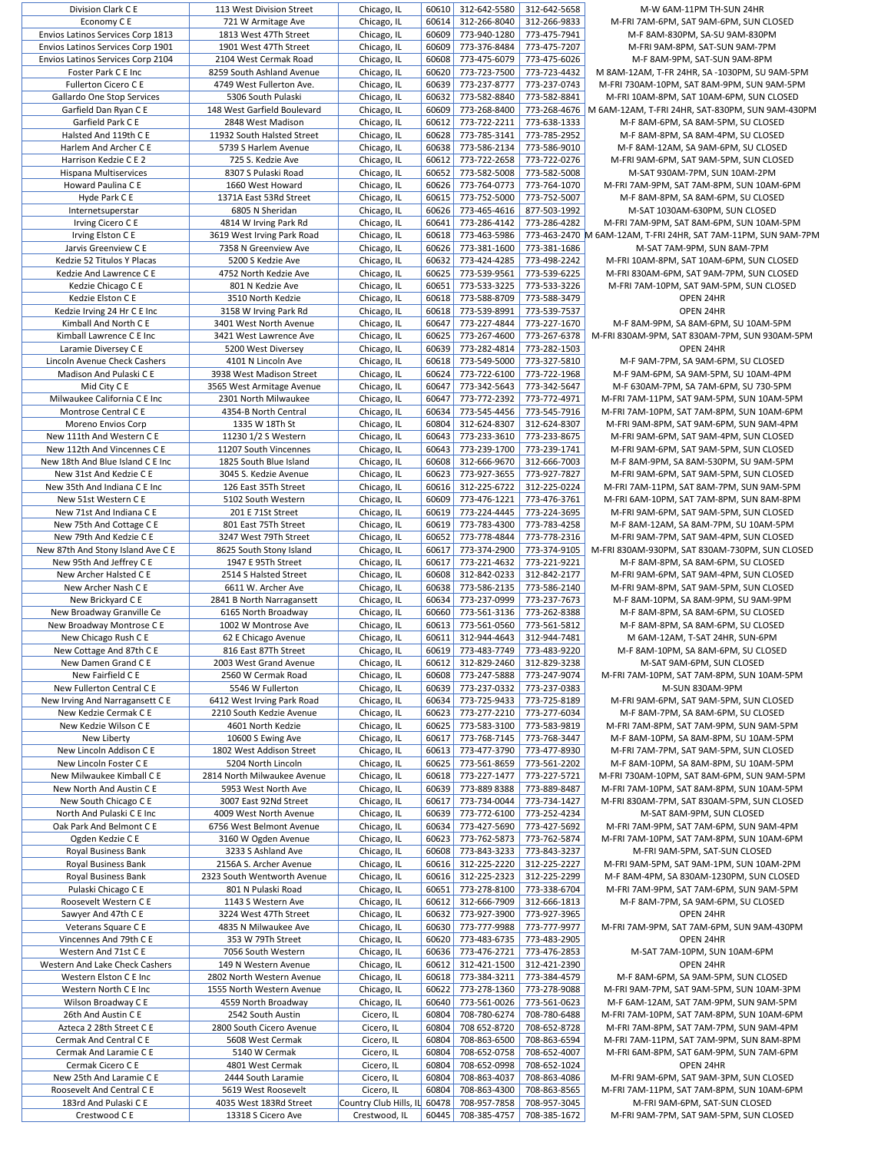| Division Clark C E                     | 113 West Division Street                     | Chicago, IL                             | 60610          | 312-642-5580                 | 312-642-5658                 | M-W 6AM-11PM TH-SUN 24HR                                                |
|----------------------------------------|----------------------------------------------|-----------------------------------------|----------------|------------------------------|------------------------------|-------------------------------------------------------------------------|
| Economy C E                            | 721 W Armitage Ave                           | Chicago, IL                             | 60614          | 312-266-8040                 | 312-266-9833                 | M-FRI 7AM-6PM, SAT 9AM-6PM, SUN CLOSED                                  |
| Envios Latinos Services Corp 1813      | 1813 West 47Th Street                        | Chicago, IL                             | 60609          | 773-940-1280                 | 773-475-7941                 | M-F 8AM-830PM, SA-SU 9AM-830PM                                          |
| Envios Latinos Services Corp 1901      | 1901 West 47Th Street                        | Chicago, IL                             | 60609          | 773-376-8484                 | 773-475-7207                 | M-FRI 9AM-8PM, SAT-SUN 9AM-7PM                                          |
|                                        |                                              |                                         |                |                              |                              |                                                                         |
| Envios Latinos Services Corp 2104      | 2104 West Cermak Road                        | Chicago, IL                             | 60608          | 773-475-6079                 | 773-475-6026                 | M-F 8AM-9PM, SAT-SUN 9AM-8PM                                            |
| Foster Park C E Inc                    | 8259 South Ashland Avenue                    | Chicago, IL                             | 60620          | 773-723-7500                 | 773-723-4432                 | M 8AM-12AM, T-FR 24HR, SA -1030PM, SU 9AM-5PM                           |
| Fullerton Cicero C E                   | 4749 West Fullerton Ave.                     | Chicago, IL                             | 60639          | 773-237-8777                 | 773-237-0743                 | M-FRI 730AM-10PM, SAT 8AM-9PM, SUN 9AM-5PM                              |
|                                        |                                              |                                         |                |                              |                              |                                                                         |
| Gallardo One Stop Services             | 5306 South Pulaski                           | Chicago, IL                             | 60632          | 773-582-8840                 | 773-582-8841                 | M-FRI 10AM-8PM, SAT 10AM-6PM, SUN CLOSED                                |
| Garfield Dan Ryan C E                  | 148 West Garfield Boulevard                  | Chicago, IL                             | 60609          | 773-268-8400                 | 773-268-4676                 | M 6AM-12AM, T-FRI 24HR, SAT-830PM, SUN 9AM-430PM                        |
| Garfield Park C E                      | 2848 West Madison                            | Chicago, IL                             | 60612          | 773-722-2211                 | 773-638-1333                 | M-F 8AM-6PM, SA 8AM-5PM, SU CLOSED                                      |
|                                        |                                              |                                         |                |                              |                              |                                                                         |
| Halsted And 119th C E                  | 11932 South Halsted Street                   | Chicago, IL                             | 60628          | 773-785-3141                 | 773-785-2952                 | M-F 8AM-8PM, SA 8AM-4PM, SU CLOSED                                      |
| Harlem And Archer C E                  | 5739 S Harlem Avenue                         | Chicago, IL                             | 60638          | 773-586-2134                 | 773-586-9010                 | M-F 8AM-12AM, SA 9AM-6PM, SU CLOSED                                     |
| Harrison Kedzie C E 2                  | 725 S. Kedzie Ave                            | Chicago, IL                             | 60612          | 773-722-2658                 | 773-722-0276                 | M-FRI 9AM-6PM, SAT 9AM-5PM, SUN CLOSED                                  |
|                                        |                                              |                                         |                |                              |                              |                                                                         |
| Hispana Multiservices                  | 8307 S Pulaski Road                          | Chicago, IL                             | 60652          | 773-582-5008                 | 773-582-5008                 | M-SAT 930AM-7PM, SUN 10AM-2PM                                           |
| Howard Paulina C E                     | 1660 West Howard                             | Chicago, IL                             | 60626          | 773-764-0773                 | 773-764-1070                 | M-FRI 7AM-9PM, SAT 7AM-8PM, SUN 10AM-6PM                                |
| Hyde Park C E                          | 1371A East 53Rd Street                       | Chicago, IL                             | 60615          | 773-752-5000                 | 773-752-5007                 | M-F 8AM-8PM, SA 8AM-6PM, SU CLOSED                                      |
|                                        |                                              |                                         |                |                              |                              |                                                                         |
| Internetsuperstar                      | 6805 N Sheridan                              | Chicago, IL                             | 60626          | 773-465-4616                 | 877-503-1992                 | M-SAT 1030AM-630PM, SUN CLOSED                                          |
| Irving Cicero C E                      | 4814 W Irving Park Rd                        | Chicago, IL                             | 60641          | 773-286-4142                 | 773-286-4282                 | M-FRI 7AM-9PM, SAT 8AM-6PM, SUN 10AM-5PM                                |
| Irving Elston C E                      | 3619 West Irving Park Road                   | Chicago, IL                             | 60618          | 773-463-5986                 |                              | 773-463-2470 M 6AM-12AM, T-FRI 24HR, SAT 7AM-11PM, SUN 9AM-7PM          |
|                                        |                                              |                                         |                |                              |                              |                                                                         |
| Jarvis Greenview C E                   | 7358 N Greenview Ave                         | Chicago, IL                             | 60626          | 773-381-1600                 | 773-381-1686                 | M-SAT 7AM-9PM, SUN 8AM-7PM                                              |
| Kedzie 52 Titulos Y Placas             | 5200 S Kedzie Ave                            | Chicago, IL                             | 60632          | 773-424-4285                 | 773-498-2242                 | M-FRI 10AM-8PM, SAT 10AM-6PM, SUN CLOSED                                |
| Kedzie And Lawrence C E                | 4752 North Kedzie Ave                        | Chicago, IL                             | 60625          | 773-539-9561                 | 773-539-6225                 | M-FRI 830AM-6PM, SAT 9AM-7PM, SUN CLOSED                                |
|                                        |                                              |                                         |                |                              |                              |                                                                         |
| Kedzie Chicago C E                     | 801 N Kedzie Ave                             | Chicago, IL                             | 60651          | 773-533-3225                 | 773-533-3226                 | M-FRI 7AM-10PM, SAT 9AM-5PM, SUN CLOSED                                 |
| Kedzie Elston C E                      | 3510 North Kedzie                            | Chicago, IL                             | 60618          | 773-588-8709                 | 773-588-3479                 | OPEN 24HR                                                               |
| Kedzie Irving 24 Hr C E Inc            | 3158 W Irving Park Rd                        | Chicago, IL                             | 60618          | 773-539-8991                 | 773-539-7537                 | OPEN 24HR                                                               |
|                                        |                                              |                                         |                |                              |                              |                                                                         |
| Kimball And North C E                  | 3401 West North Avenue                       | Chicago, IL                             | 60647          | 773-227-4844                 | 773-227-1670                 | M-F 8AM-9PM, SA 8AM-6PM, SU 10AM-5PM                                    |
| Kimball Lawrence C E Inc               | 3421 West Lawrence Ave                       | Chicago, IL                             | 60625          | 773-267-4600                 | 773-267-6378                 | M-FRI 830AM-9PM, SAT 830AM-7PM, SUN 930AM-5PM                           |
| Laramie Diversey C E                   | 5200 West Diversey                           | Chicago, IL                             | 60639          | 773-282-4814                 | 773-282-1503                 | OPEN 24HR                                                               |
|                                        |                                              |                                         |                |                              |                              |                                                                         |
| Lincoln Avenue Check Cashers           | 4101 N Lincoln Ave                           | Chicago, IL                             | 60618          | 773-549-5000                 | 773-327-5810                 | M-F 9AM-7PM, SA 9AM-6PM, SU CLOSED                                      |
| Madison And Pulaski C E                | 3938 West Madison Street                     | Chicago, IL                             | 60624          | 773-722-6100                 | 773-722-1968                 | M-F 9AM-6PM, SA 9AM-5PM, SU 10AM-4PM                                    |
| Mid City C E                           | 3565 West Armitage Avenue                    | Chicago, IL                             | 60647          | 773-342-5643                 | 773-342-5647                 | M-F 630AM-7PM, SA 7AM-6PM, SU 730-5PM                                   |
|                                        |                                              |                                         |                |                              |                              |                                                                         |
| Milwaukee California C E Inc           | 2301 North Milwaukee                         | Chicago, IL                             | 60647          | 773-772-2392                 | 773-772-4971                 | M-FRI 7AM-11PM, SAT 9AM-5PM, SUN 10AM-5PM                               |
| Montrose Central C E                   | 4354-B North Central                         | Chicago, IL                             | 60634          | 773-545-4456                 | 773-545-7916                 | M-FRI 7AM-10PM, SAT 7AM-8PM, SUN 10AM-6PM                               |
| Moreno Envios Corp                     | 1335 W 18Th St                               | Chicago, IL                             | 60804          | 312-624-8307                 | 312-624-8307                 | M-FRI 9AM-8PM, SAT 9AM-6PM, SUN 9AM-4PM                                 |
|                                        |                                              |                                         |                |                              |                              |                                                                         |
| New 111th And Western C E              | 11230 1/2 S Western                          | Chicago, IL                             | 60643          | 773-233-3610                 | 773-233-8675                 | M-FRI 9AM-6PM, SAT 9AM-4PM, SUN CLOSED                                  |
| New 112th And Vincennes C E            | 11207 South Vincennes                        | Chicago, IL                             | 60643          | 773-239-1700                 | 773-239-1741                 | M-FRI 9AM-6PM, SAT 9AM-5PM, SUN CLOSED                                  |
| New 18th And Blue Island C E Inc       | 1825 South Blue Island                       | Chicago, IL                             | 60608          | 312-666-9670                 | 312-666-7003                 | M-F 8AM-9PM, SA 8AM-530PM, SU 9AM-5PM                                   |
|                                        |                                              |                                         |                |                              |                              |                                                                         |
| New 31st And Kedzie C E                | 3045 S. Kedzie Avenue                        | Chicago, IL                             | 60623          | 773-927-3655                 | 773-927-7827                 | M-FRI 9AM-6PM, SAT 9AM-5PM, SUN CLOSED                                  |
| New 35th And Indiana C E Inc           | 126 East 35Th Street                         | Chicago, IL                             | 60616          | 312-225-6722                 | 312-225-0224                 | M-FRI 7AM-11PM, SAT 8AM-7PM, SUN 9AM-5PM                                |
| New 51st Western C E                   | 5102 South Western                           | Chicago, IL                             | 60609          | 773-476-1221                 | 773-476-3761                 | M-FRI 6AM-10PM, SAT 7AM-8PM, SUN 8AM-8PM                                |
|                                        |                                              |                                         |                |                              |                              |                                                                         |
| New 71st And Indiana C E               | 201 E 71St Street                            | Chicago, IL                             | 60619          | 773-224-4445                 | 773-224-3695                 | M-FRI 9AM-6PM, SAT 9AM-5PM, SUN CLOSED                                  |
| New 75th And Cottage C E               | 801 East 75Th Street                         | Chicago, IL                             | 60619          | 773-783-4300                 | 773-783-4258                 | M-F 8AM-12AM, SA 8AM-7PM, SU 10AM-5PM                                   |
| New 79th And Kedzie C E                | 3247 West 79Th Street                        | Chicago, IL                             | 60652          | 773-778-4844                 | 773-778-2316                 | M-FRI 9AM-7PM, SAT 9AM-4PM, SUN CLOSED                                  |
|                                        |                                              |                                         |                |                              |                              |                                                                         |
| New 87th And Stony Island Ave C E      | 8625 South Stony Island                      | Chicago, IL                             | 60617          | 773-374-2900                 | 773-374-9105                 | M-FRI 830AM-930PM, SAT 830AM-730PM, SUN CLOSED                          |
| New 95th And Jeffrey C E               | 1947 E 95Th Street                           | Chicago, IL                             | 60617          | 773-221-4632                 | 773-221-9221                 | M-F 8AM-8PM, SA 8AM-6PM, SU CLOSED                                      |
| New Archer Halsted C E                 | 2514 S Halsted Street                        | Chicago, IL                             | 60608          | 312-842-0233                 | 312-842-2177                 | M-FRI 9AM-6PM, SAT 9AM-4PM, SUN CLOSED                                  |
| New Archer Nash C E                    |                                              |                                         |                | 773-586-2135                 |                              |                                                                         |
|                                        | 6611 W. Archer Ave                           | Chicago, IL                             | 60638          |                              | 773-586-2140                 | M-FRI 9AM-8PM, SAT 9AM-5PM, SUN CLOSED                                  |
| New Brickyard C E                      | 2841 B North Narragansett                    | Chicago, IL                             | 60634          | 773-237-0999                 | 773-237-7673                 | M-F 8AM-10PM, SA 8AM-9PM, SU 9AM-9PM                                    |
| New Broadway Granville Ce              | 6165 North Broadway                          | Chicago, IL                             | 60660          | 773-561-3136                 | 773-262-8388                 | M-F 8AM-8PM, SA 8AM-6PM, SU CLOSED                                      |
|                                        | 1002 W Montrose Ave                          |                                         | 60613          | 773-561-0560                 |                              | M-F 8AM-8PM, SA 8AM-6PM, SU CLOSED                                      |
| New Broadway Montrose C E              |                                              | Chicago, IL                             |                |                              | 773-561-5812                 |                                                                         |
| New Chicago Rush C E                   | 62 E Chicago Avenue                          | Chicago, IL                             | 60611          | 312-944-4643                 | 312-944-7481                 | M 6AM-12AM, T-SAT 24HR, SUN-6PM                                         |
| New Cottage And 87th C E               | 816 East 87Th Street                         | Chicago, IL                             | 60619          | 773-483-7749                 | 773-483-9220                 | M-F 8AM-10PM, SA 8AM-6PM, SU CLOSED                                     |
| New Damen Grand C E                    | 2003 West Grand Avenue                       | Chicago, IL                             | 60612          | 312-829-2460                 | 312-829-3238                 | M-SAT 9AM-6PM, SUN CLOSED                                               |
|                                        |                                              |                                         |                |                              |                              |                                                                         |
| New Fairfield C E                      | 2560 W Cermak Road                           | Chicago, IL                             | 60608          | 773-247-5888                 | 773-247-9074                 | M-FRI 7AM-10PM, SAT 7AM-8PM, SUN 10AM-5PM                               |
| New Fullerton Central C E              | 5546 W Fullerton                             | Chicago, IL                             | 60639          | 773-237-0332                 | 773-237-0383                 | M-SUN 830AM-9PM                                                         |
| New Irving And Narragansett C E        | 6412 West Irving Park Road                   | Chicago, IL                             | 60634          | 773-725-9433                 | 773-725-8189                 | M-FRI 9AM-6PM, SAT 9AM-5PM, SUN CLOSED                                  |
|                                        |                                              |                                         |                |                              |                              |                                                                         |
| New Kedzie Cermak C E                  | 2210 South Kedzie Avenue                     | Chicago, IL                             | 60623          | 773-277-2210                 | 773-277-6034                 | M-F 8AM-7PM, SA 8AM-6PM, SU CLOSED                                      |
| New Kedzie Wilson C E                  | 4601 North Kedzie                            | Chicago, IL                             | 60625          | 773-583-3100                 | 773-583-9819                 | M-FRI 7AM-8PM, SAT 7AM-9PM, SUN 9AM-5PM                                 |
| New Liberty                            | 10600 S Ewing Ave                            | Chicago, IL                             | 60617          | 773-768-7145                 | 773-768-3447                 | M-F 8AM-10PM, SA 8AM-8PM, SU 10AM-5PM                                   |
|                                        |                                              |                                         |                |                              |                              |                                                                         |
| New Lincoln Addison C E                | 1802 West Addison Street                     | Chicago, IL                             | 60613          | 773-477-3790                 | 773-477-8930                 | M-FRI 7AM-7PM, SAT 9AM-5PM, SUN CLOSED                                  |
| New Lincoln Foster C E                 | 5204 North Lincoln                           | Chicago, IL                             | 60625          | 773-561-8659                 | 773-561-2202                 | M-F 8AM-10PM, SA 8AM-8PM, SU 10AM-5PM                                   |
| New Milwaukee Kimball C E              | 2814 North Milwaukee Avenue                  | Chicago, IL                             | 60618          | 773-227-1477                 | 773-227-5721                 | M-FRI 730AM-10PM, SAT 8AM-6PM, SUN 9AM-5PM                              |
| New North And Austin C E               | 5953 West North Ave                          | Chicago, IL                             | 60639          | 773-889 8388                 | 773-889-8487                 | M-FRI 7AM-10PM, SAT 8AM-8PM, SUN 10AM-5PM                               |
|                                        |                                              |                                         |                |                              |                              |                                                                         |
| New South Chicago C E                  | 3007 East 92Nd Street                        | Chicago, IL                             | 60617          | 773-734-0044                 | 773-734-1427                 | M-FRI 830AM-7PM, SAT 830AM-5PM, SUN CLOSED                              |
| North And Pulaski C E Inc              | 4009 West North Avenue                       | Chicago, IL                             | 60639          | 773-772-6100                 | 773-252-4234                 | M-SAT 8AM-9PM, SUN CLOSED                                               |
| Oak Park And Belmont C E               | 6756 West Belmont Avenue                     |                                         | 60634          | 773-427-5690                 | 773-427-5692                 |                                                                         |
|                                        |                                              | Chicago, IL                             |                |                              |                              | M-FRI 7AM-9PM, SAT 7AM-6PM, SUN 9AM-4PM                                 |
| Ogden Kedzie C E                       | 3160 W Ogden Avenue                          | Chicago, IL                             | 60623          | 773-762-5873                 | 773-762-5874                 | M-FRI 7AM-10PM, SAT 7AM-8PM, SUN 10AM-6PM                               |
| Royal Business Bank                    | 3233 S Ashland Ave                           | Chicago, IL                             | 60608          | 773-843-3233                 | 773-843-3237                 | M-FRI 9AM-5PM, SAT-SUN CLOSED                                           |
| Royal Business Bank                    | 2156A S. Archer Avenue                       | Chicago, IL                             | 60616          | 312-225-2220                 | 312-225-2227                 | M-FRI 9AM-5PM, SAT 9AM-1PM, SUN 10AM-2PM                                |
|                                        |                                              |                                         |                |                              |                              |                                                                         |
| Royal Business Bank                    | 2323 South Wentworth Avenue                  | Chicago, IL                             | 60616          | 312-225-2323                 | 312-225-2299                 | M-F 8AM-4PM, SA 830AM-1230PM, SUN CLOSED                                |
| Pulaski Chicago C E                    | 801 N Pulaski Road                           | Chicago, IL                             | 60651          | 773-278-8100                 | 773-338-6704                 | M-FRI 7AM-9PM, SAT 7AM-6PM, SUN 9AM-5PM                                 |
| Roosevelt Western C E                  | 1143 S Western Ave                           | Chicago, IL                             | 60612          | 312-666-7909                 | 312-666-1813                 | M-F 8AM-7PM, SA 9AM-6PM, SU CLOSED                                      |
|                                        |                                              |                                         |                |                              |                              |                                                                         |
| Sawyer And 47th C E                    | 3224 West 47Th Street                        | Chicago, IL                             | 60632          | 773-927-3900                 | 773-927-3965                 | OPEN 24HR                                                               |
| Veterans Square C E                    | 4835 N Milwaukee Ave                         | Chicago, IL                             |                | 60630 773-777-9988           | 773-777-9977                 | M-FRI 7AM-9PM, SAT 7AM-6PM, SUN 9AM-430PM                               |
| Vincennes And 79th C E                 | 353 W 79Th Street                            | Chicago, IL                             | 60620          | 773-483-6735                 | 773-483-2905                 | OPEN 24HR                                                               |
|                                        |                                              |                                         |                |                              |                              |                                                                         |
| Western And 71st C E                   | 7056 South Western                           | Chicago, IL                             | 60636          | 773-476-2721                 | 773-476-2853                 | M-SAT 7AM-10PM, SUN 10AM-6PM                                            |
| Western And Lake Check Cashers         | 149 N Western Avenue                         | Chicago, IL                             | 60612          | 312-421-1500                 | 312-421-2390                 | OPEN 24HR                                                               |
| Western Elston C E Inc                 | 2802 North Western Avenue                    | Chicago, IL                             | 60618          | 773-384-3211                 | 773-384-4579                 | M-F 8AM-6PM, SA 9AM-5PM, SUN CLOSED                                     |
|                                        |                                              |                                         |                |                              |                              |                                                                         |
| Western North C E Inc                  | 1555 North Western Avenue                    | Chicago, IL                             | 60622          | 773-278-1360                 | 773-278-9088                 | M-FRI 9AM-7PM, SAT 9AM-5PM, SUN 10AM-3PM                                |
| Wilson Broadway C E                    | 4559 North Broadway                          | Chicago, IL                             | 60640          | 773-561-0026                 | 773-561-0623                 | M-F 6AM-12AM, SAT 7AM-9PM, SUN 9AM-5PM                                  |
| 26th And Austin C E                    | 2542 South Austin                            | Cicero, IL                              | 60804          | 708-780-6274                 | 708-780-6488                 | M-FRI 7AM-10PM, SAT 7AM-8PM, SUN 10AM-6PM                               |
|                                        |                                              |                                         |                |                              |                              |                                                                         |
| Azteca 2 28th Street C E               |                                              | Cicero, IL                              | 60804          | 708 652-8720                 | 708-652-8728                 | M-FRI 7AM-8PM, SAT 7AM-7PM, SUN 9AM-4PM                                 |
| Cermak And Central C E                 | 2800 South Cicero Avenue                     |                                         |                |                              |                              |                                                                         |
|                                        | 5608 West Cermak                             | Cicero, IL                              | 60804          | 708-863-6500                 | 708-863-6594                 | M-FRI 7AM-11PM, SAT 7AM-9PM, SUN 8AM-8PM                                |
|                                        |                                              |                                         |                |                              |                              |                                                                         |
| Cermak And Laramie C E                 | 5140 W Cermak                                | Cicero, IL                              | 60804          | 708-652-0758                 | 708-652-4007                 | M-FRI 6AM-8PM, SAT 6AM-9PM, SUN 7AM-6PM                                 |
| Cermak Cicero C E                      | 4801 West Cermak                             | Cicero, IL                              | 60804          | 708-652-0998                 | 708-652-1024                 | OPEN 24HR                                                               |
| New 25th And Laramie C E               | 2444 South Laramie                           | Cicero, IL                              | 60804          | 708-863-4037                 | 708-863-4086                 | M-FRI 9AM-6PM, SAT 9AM-3PM, SUN CLOSED                                  |
|                                        |                                              |                                         | 60804          |                              |                              |                                                                         |
| Roosevelt And Central C E              | 5619 West Roosevelt                          | Cicero, IL                              |                | 708-863-4300                 | 708-863-8565                 | M-FRI 7AM-11PM, SAT 7AM-8PM, SUN 10AM-6PM                               |
| 183rd And Pulaski C E<br>Crestwood C E | 4035 West 183Rd Street<br>13318 S Cicero Ave | Country Club Hills, IL<br>Crestwood, IL | 60478<br>60445 | 708-957-7858<br>708-385-4757 | 708-957-3045<br>708-385-1672 | M-FRI 9AM-6PM, SAT-SUN CLOSED<br>M-FRI 9AM-7PM, SAT 9AM-5PM, SUN CLOSED |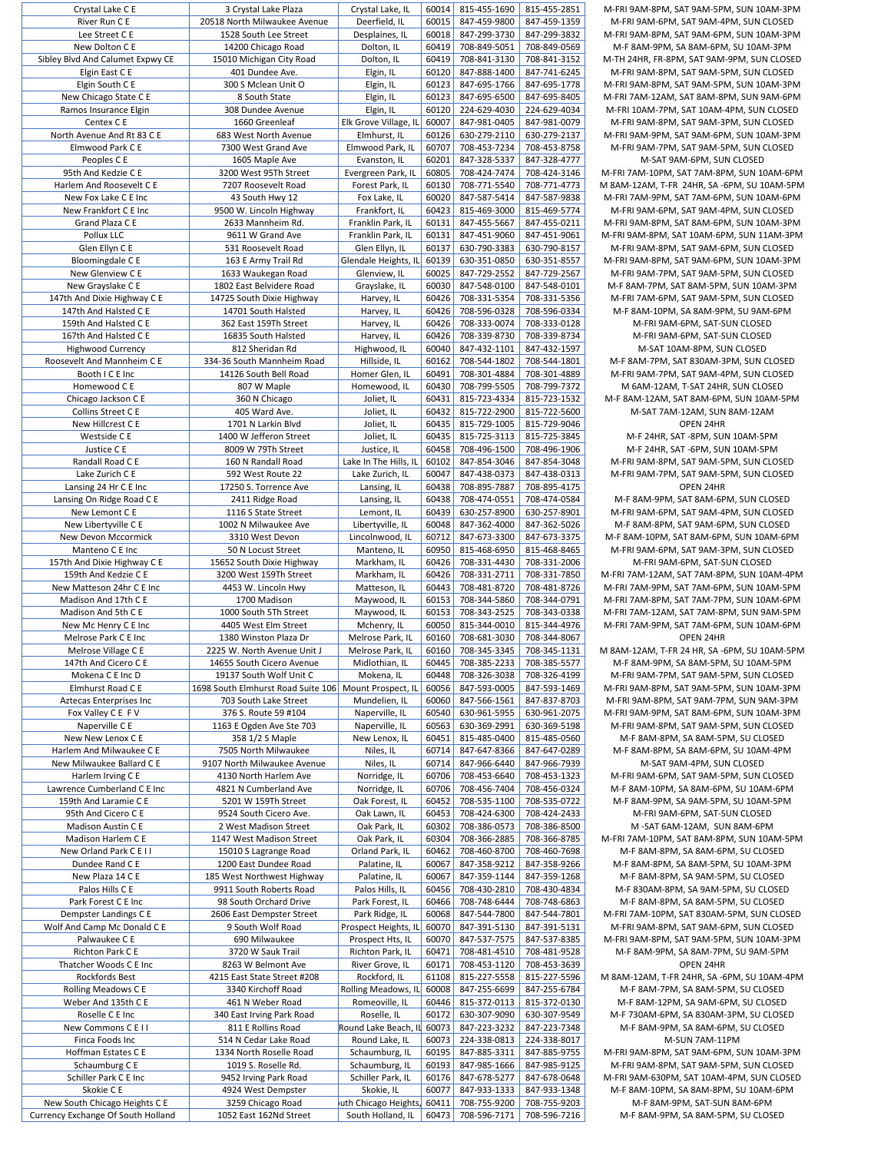| CI VOLGI LANG C L                                                   | <b>JUI VISLAI LANT FIAZA</b>                | CI yotal Land, IL                         | <b>UUUI+1</b>  | 017-CC <del>L</del> -CTO     | 017-177-2071                 | IVI-I IN JAIVI-OFIVI, JAI JAIVI-JFI           |
|---------------------------------------------------------------------|---------------------------------------------|-------------------------------------------|----------------|------------------------------|------------------------------|-----------------------------------------------|
| River Run C E                                                       | 20518 North Milwaukee Avenue                | Deerfield, IL                             | 60015          | 847-459-9800                 | 847-459-1359                 | M-FRI 9AM-6PM, SAT 9AM-4                      |
| Lee Street C E                                                      | 1528 South Lee Street                       | Desplaines, IL                            | 60018          | 847-299-3730                 | 847-299-3832                 | M-FRI 9AM-8PM, SAT 9AM-6PI                    |
| New Dolton C E                                                      | 14200 Chicago Road                          | Dolton, IL                                | 60419          | 708-849-5051                 | 708-849-0569                 | M-F 8AM-9PM, SA 8AM-6PN                       |
| Sibley Blvd And Calumet Expwy CE                                    |                                             |                                           | 60419          | 708-841-3130                 | 708-841-3152                 | M-TH 24HR, FR-8PM, SAT 9AM                    |
|                                                                     | 15010 Michigan City Road                    | Dolton, IL                                |                |                              |                              |                                               |
| Elgin East C E                                                      | 401 Dundee Ave.                             | Elgin, IL                                 | 60120          | 847-888-1400                 | 847-741-6245                 | M-FRI 9AM-8PM, SAT 9AM-5                      |
| Elgin South C E                                                     | 300 S Mclean Unit O                         | Elgin, IL                                 | 60123          | 847-695-1766                 | 847-695-1778                 | M-FRI 9AM-8PM, SAT 9AM-5PI                    |
| New Chicago State C E                                               | 8 South State                               | Elgin, IL                                 | 60123          | 847-695-6500                 | 847-695-8405                 | M-FRI 7AM-12AM, SAT 8AM-8I                    |
| Ramos Insurance Elgin                                               | 308 Dundee Avenue                           | Elgin, IL                                 | 60120          | 224-629-4030                 | 224-629-4034                 | M-FRI 10AM-7PM, SAT 10AM-                     |
| Centex C E                                                          | 1660 Greenleaf                              | Elk Grove Village, IL                     | 60007          | 847-981-0405                 | 847-981-0079                 | M-FRI 9AM-8PM, SAT 9AM-3                      |
| North Avenue And Rt 83 C E                                          | 683 West North Avenue                       | Elmhurst, IL                              | 60126          | 630-279-2110                 | 630-279-2137                 | M-FRI 9AM-9PM, SAT 9AM-6PI                    |
|                                                                     |                                             |                                           |                |                              |                              |                                               |
| Elmwood Park C E                                                    | 7300 West Grand Ave                         | Elmwood Park, IL                          | 60707          | 708-453-7234                 | 708-453-8758                 | M-FRI 9AM-7PM, SAT 9AM-5                      |
| Peoples C E                                                         | 1605 Maple Ave                              | Evanston, IL                              | 60201          | 847-328-5337                 | 847-328-4777                 | M-SAT 9AM-6PM, SU                             |
| 95th And Kedzie C E                                                 | 3200 West 95Th Street                       | Evergreen Park, IL                        | 60805          | 708-424-7474                 | 708-424-3146                 | M-FRI 7AM-10PM, SAT 7AM-8P                    |
| Harlem And Roosevelt C E                                            | 7207 Roosevelt Road                         | Forest Park, IL                           | 60130          | 708-771-5540                 | 708-771-4773                 | M 8AM-12AM, T-FR 24HR, SA -                   |
| New Fox Lake C E Inc                                                | 43 South Hwy 12                             | Fox Lake, IL                              | 60020          | 847-587-5414                 | 847-587-9838                 | M-FRI 7AM-9PM, SAT 7AM-6PI                    |
| New Frankfort C E Inc                                               | 9500 W. Lincoln Highway                     | Frankfort, IL                             | 60423          | 815-469-3000                 | 815-469-5774                 | M-FRI 9AM-6PM, SAT 9AM-4                      |
|                                                                     |                                             |                                           |                |                              |                              |                                               |
| Grand Plaza C E                                                     | 2633 Mannheim Rd.                           | Franklin Park, IL                         | 60131          | 847-455-5667                 | 847-455-0211                 | M-FRI 9AM-8PM, SAT 8AM-6PI                    |
| Pollux LLC                                                          | 9611 W Grand Ave                            | Franklin Park, IL                         | 60131          | 847-451-9060                 | 847-451-9061                 | M-FRI 9AM-8PM, SAT 10AM-6P                    |
| Glen Ellyn C E                                                      | 531 Roosevelt Road                          | Glen Ellyn, IL                            | 60137          | 630-790-3383                 | 630-790-8157                 | M-FRI 9AM-8PM, SAT 9AM-6                      |
| Bloomingdale C E                                                    | 163 E Army Trail Rd                         | Glendale Heights, IL                      | 60139          | 630-351-0850                 | 630-351-8557                 | M-FRI 9AM-8PM, SAT 9AM-6PI                    |
| New Glenview C E                                                    | 1633 Waukegan Road                          | Glenview, IL                              | 60025          | 847-729-2552                 | 847-729-2567                 | M-FRI 9AM-7PM, SAT 9AM-5                      |
| New Grayslake C E                                                   | 1802 East Belvidere Road                    | Grayslake, IL                             | 60030          | 847-548-0100                 | 847-548-0101                 | M-F 8AM-7PM, SAT 8AM-5PN                      |
|                                                                     |                                             |                                           |                |                              |                              |                                               |
| 147th And Dixie Highway C E                                         | 14725 South Dixie Highway                   | Harvey, IL                                | 60426          | 708-331-5354                 | 708-331-5356                 | M-FRI 7AM-6PM, SAT 9AM-5                      |
| 147th And Halsted C E                                               | 14701 South Halsted                         | Harvey, IL                                | 60426          | 708-596-0328                 | 708-596-0334                 | M-F 8AM-10PM, SA 8AM-9P                       |
| 159th And Halsted C E                                               | 362 East 159Th Street                       | Harvey, IL                                | 60426          | 708-333-0074                 | 708-333-0128                 | M-FRI 9AM-6PM, SAT-S                          |
| 167th And Halsted C E                                               | 16835 South Halsted                         | Harvey, IL                                | 60426          | 708-339-8730                 | 708-339-8734                 | M-FRI 9AM-6PM, SAT-S                          |
| Highwood Currency                                                   | 812 Sheridan Rd                             | Highwood, IL                              | 60040          | 847-432-1101                 | 847-432-1597                 | M-SAT 10AM-8PM, SL                            |
| Roosevelt And Mannheim C E                                          | 334-36 South Mannheim Road                  | Hillside, IL                              | 60162          | 708-544-1802                 | 708-544-1801                 | M-F 8AM-7PM, SAT 830AM-3                      |
|                                                                     |                                             |                                           |                |                              |                              |                                               |
| Booth I C E Inc                                                     | 14126 South Bell Road                       | Homer Glen, IL                            | 60491          | 708-301-4884                 | 708-301-4889                 | M-FRI 9AM-7PM, SAT 9AM-4                      |
| Homewood C E                                                        | 807 W Maple                                 | Homewood, IL                              | 60430          | 708-799-5505                 | 708-799-7372                 | M 6AM-12AM, T-SAT 24H                         |
| Chicago Jackson C E                                                 | 360 N Chicago                               | Joliet, IL                                | 60431          | 815-723-4334                 | 815-723-1532                 | M-F 8AM-12AM, SAT 8AM-6PI                     |
| Collins Street C E                                                  | 405 Ward Ave.                               | Joliet, IL                                | 60432          | 815-722-2900                 | 815-722-5600                 | M-SAT 7AM-12AM, SUN                           |
| New Hillcrest C E                                                   | 1701 N Larkin Blvd                          | Joliet, IL                                | 60435          | 815-729-1005                 | 815-729-9046                 | OPEN 24HR                                     |
| Westside C E                                                        | 1400 W Jefferon Street                      | Joliet, IL                                | 60435          | 815-725-3113                 | 815-725-3845                 | M-F 24HR, SAT-8PM, SU                         |
| Justice C E                                                         | 8009 W 79Th Street                          | Justice, IL                               | 60458          | 708-496-1500                 | 708-496-1906                 | M-F 24HR, SAT-6PM, SU                         |
|                                                                     |                                             |                                           |                |                              |                              |                                               |
| Randall Road C E                                                    | 160 N Randall Road                          | Lake In The Hills, IL                     | 60102          | 847-854-3046                 | 847-854-3048                 | M-FRI 9AM-8PM, SAT 9AM-5                      |
| Lake Zurich C E                                                     | 592 West Route 22                           | Lake Zurich, IL                           | 60047          | 847-438-0373                 | 847-438-0313                 | M-FRI 9AM-7PM, SAT 9AM-5                      |
| Lansing 24 Hr C E Inc                                               | 17250 S. Torrence Ave                       | Lansing, IL                               | 60438          | 708-895-7887                 | 708-895-4175                 | OPEN 24HR                                     |
| Lansing On Ridge Road C E                                           | 2411 Ridge Road                             | Lansing, IL                               | 60438          | 708-474-0551                 | 708-474-0584                 | M-F 8AM-9PM, SAT 8AM-6F                       |
| New Lemont C E                                                      | 1116 S State Street                         | Lemont, IL                                | 60439          | 630-257-8900                 | 630-257-8901                 | M-FRI 9AM-6PM, SAT 9AM-4                      |
| New Libertyville C E                                                | 1002 N Milwaukee Ave                        | Libertyville, IL                          | 60048          | 847-362-4000                 | 847-362-5026                 | M-F 8AM-8PM, SAT 9AM-6F                       |
|                                                                     |                                             |                                           |                |                              |                              |                                               |
| New Devon Mccormick                                                 | 3310 West Devon                             | Lincolnwood, IL                           | 60712          | 847-673-3300                 | 847-673-3375                 | M-F 8AM-10PM, SAT 8AM-6PM                     |
| Manteno C E Inc                                                     | 50 N Locust Street                          | Manteno, IL                               | 60950          | 815-468-6950                 | 815-468-8465                 | M-FRI 9AM-6PM, SAT 9AM-3                      |
|                                                                     |                                             |                                           | 60426          |                              |                              |                                               |
| 157th And Dixie Highway C E                                         | 15652 South Dixie Highway                   | Markham, IL                               |                | 708-331-4430                 | 708-331-2006                 | M-FRI 9AM-6PM, SAT-S                          |
| 159th And Kedzie C E                                                |                                             | Markham, IL                               | 60426          |                              | 708-331-7850                 |                                               |
|                                                                     | 3200 West 159Th Street                      |                                           |                | 708-331-2711                 |                              | M-FRI 7AM-12AM, SAT 7AM-8P                    |
| New Matteson 24hr C E Inc                                           | 4453 W. Lincoln Hwy                         | Matteson, IL                              | 60443          | 708-481-8720                 | 708-481-8726                 | M-FRI 7AM-9PM, SAT 7AM-6PI                    |
| Madison And 17th C E                                                | 1700 Madison                                | Maywood, IL                               | 60153          | 708-344-5860                 | 708-344-0791                 | M-FRI 7AM-8PM, SAT 7AM-7PI                    |
| Madison And 5th C E                                                 | 1000 South 5Th Street                       | Maywood, IL                               | 60153          | 708-343-2525                 | 708-343-0338                 | M-FRI 7AM-12AM, SAT 7AM-8I                    |
| New Mc Henry C E Inc                                                | 4405 West Elm Street                        | Mchenry, IL                               | 60050          | 815-344-0010                 | 815-344-4976                 | M-FRI 7AM-9PM, SAT 7AM-6PI                    |
| Melrose Park C E Inc                                                | 1380 Winston Plaza Dr                       | Melrose Park, IL                          | 60160          | 708-681-3030                 | 708-344-8067                 | OPEN 24HR                                     |
| Melrose Village C E                                                 | 2225 W. North Avenue Unit J                 | Melrose Park, IL                          | 60160          | 708-345-3345                 | 708-345-1131                 | M 8AM-12AM, T-FR 24 HR, SA -                  |
|                                                                     |                                             |                                           |                |                              |                              |                                               |
| 147th And Cicero C E                                                | 14655 South Cicero Avenue                   | Midlothian, IL                            | 60445          | 708-385-2233                 | 708-385-5577                 | M-F 8AM-9PM, SA 8AM-5PN                       |
| Mokena C E Inc D                                                    | 19137 South Wolf Unit C                     | Mokena, IL                                | 60448          | 708-326-3038                 | 708-326-4199                 | M-FRI 9AM-7PM, SAT 9AM-5                      |
| Elmhurst Road C E                                                   | 1698 South Elmhurst Road Suite 106          | Mount Prospect, IL                        | 60056          | 847-593-0005                 | 847-593-1469                 | M-FRI 9AM-8PM, SAT 9AM-5PI                    |
| Aztecas Enterprises Inc                                             | 703 South Lake Street                       | Mundelien, IL                             | 60060          | 847-566-1561                 | 847-837-8703                 | M-FRI 9AM-8PM, SAT 9AM-7P                     |
| Fox Valley C E F V                                                  | 376 S. Route 59 #104                        | Naperville, IL                            | 60540          | 630-961-5955                 | 630-961-2075                 | M-FRI 9AM-9PM, SAT 8AM-6PI                    |
| Naperville C E                                                      | 1163 E Ogden Ave Ste 703                    | Naperville, IL                            | 60563          | 630-369-2991                 | 630-369-5198                 | M-FRI 9AM-8PM, SAT 9AM-5                      |
| New New Lenox C E                                                   |                                             |                                           |                |                              |                              |                                               |
|                                                                     | 358 1/2 S Maple                             | New Lenox, IL                             | 60451          | 815-485-0400                 | 815-485-0560                 | M-F 8AM-8PM, SA 8AM-5F                        |
| Harlem And Milwaukee C E                                            | 7505 North Milwaukee                        | Niles, IL                                 | 60714          | 847-647-8366                 | 847-647-0289                 | M-F 8AM-8PM, SA 8AM-6PN                       |
| New Milwaukee Ballard C E                                           | 9107 North Milwaukee Avenue                 | Niles, IL                                 | 60714          | 847-966-6440                 | 847-966-7939                 | M-SAT 9AM-4PM, SU                             |
| Harlem Irving C E                                                   | 4130 North Harlem Ave                       | Norridge, IL                              | 60706          | 708-453-6640                 | 708-453-1323                 | M-FRI 9AM-6PM, SAT 9AM-5                      |
| Lawrence Cumberland C E Inc                                         | 4821 N Cumberland Ave                       | Norridge, IL                              | 60706          | 708-456-7404                 | 708-456-0324                 | M-F 8AM-10PM, SA 8AM-6PI                      |
| 159th And Laramie C E                                               | 5201 W 159Th Street                         | Oak Forest, IL                            | 60452          | 708-535-1100                 | 708-535-0722                 | M-F 8AM-9PM, SA 9AM-5PN                       |
| 95th And Cicero C E                                                 | 9524 South Cicero Ave.                      | Oak Lawn, IL                              | 60453          | 708-424-6300                 | 708-424-2433                 | M-FRI 9AM-6PM, SAT-S                          |
| Madison Austin C E                                                  | 2 West Madison Street                       | Oak Park, IL                              | 60302          | 708-386-0573                 | 708-386-8500                 | M-SAT 6AM-12AM, SU                            |
|                                                                     |                                             |                                           |                |                              |                              |                                               |
| Madison Harlem C E                                                  | 1147 West Madison Street                    | Oak Park, IL                              | 60304          | 708-366-2885                 | 708-366-8785                 | M-FRI 7AM-10PM, SAT 8AM-8P                    |
| New Orland Park C E I I                                             | 15010 S Lagrange Road                       | Orland Park, IL                           | 60462          | 708-460-8700                 | 708-460-7698                 | M-F 8AM-8PM, SA 8AM-6F                        |
| Dundee Rand C E                                                     | 1200 East Dundee Road                       | Palatine, IL                              | 60067          | 847-358-9212                 | 847-358-9266                 | M-F 8AM-8PM, SA 8AM-5PN                       |
| New Plaza 14 C E                                                    | 185 West Northwest Highway                  | Palatine, IL                              | 60067          | 847-359-1144                 | 847-359-1268                 | M-F 8AM-8PM, SA 9AM-5F                        |
| Palos Hills C E                                                     | 9911 South Roberts Road                     | Palos Hills, IL                           | 60456          | 708-430-2810                 | 708-430-4834                 | M-F 830AM-8PM, SA 9AM-5                       |
| Park Forest C E Inc                                                 | 98 South Orchard Drive                      | Park Forest, IL                           | 60466          | 708-748-6444                 | 708-748-6863                 | M-F 8AM-8PM, SA 8AM-5F                        |
|                                                                     |                                             |                                           |                |                              |                              |                                               |
| Dempster Landings C E                                               | 2606 East Dempster Street                   | Park Ridge, IL                            | 60068          | 847-544-7800                 | 847-544-7801                 | M-FRI 7AM-10PM, SAT 830AM                     |
| Wolf And Camp Mc Donald C E                                         | 9 South Wolf Road                           | Prospect Heights, IL                      | 60070          | 847-391-5130                 | 847-391-5131                 | M-FRI 9AM-8PM, SAT 9AM-6                      |
| Palwaukee C E                                                       | 690 Milwaukee                               | Prospect Hts, IL                          | 60070          | 847-537-7575                 | 847-537-8385                 | M-FRI 9AM-8PM, SAT 9AM-5PI                    |
| Richton Park C E                                                    | 3720 W Sauk Trail                           | Richton Park, IL                          | 60471          | 708-481-4510                 | 708-481-9528                 | M-F 8AM-9PM, SA 8AM-7PI                       |
| Thatcher Woods C E Inc                                              | 8263 W Belmont Ave                          | River Grove, IL                           | 60171          | 708-453-1120                 | 708-453-3639                 | OPEN 24HR                                     |
| Rockfords Best                                                      | 4215 East State Street #208                 | Rockford, IL                              | 61108          | 815-227-5558                 | 815-227-5596                 | M 8AM-12AM, T-FR 24HR, SA-6                   |
| Rolling Meadows C E                                                 | 3340 Kirchoff Road                          | Rolling Meadows, IL                       | 60008          | 847-255-6699                 | 847-255-6784                 | M-F 8AM-7PM, SA 8AM-5F                        |
|                                                                     |                                             |                                           |                |                              |                              |                                               |
| Weber And 135th C E                                                 | 461 N Weber Road                            | Romeoville, IL                            | 60446          | 815-372-0113                 | 815-372-0130                 | M-F 8AM-12PM, SA 9AM-6                        |
| Roselle C E Inc                                                     | 340 East Irving Park Road                   | Roselle, IL                               | 60172          | 630-307-9090                 | 630-307-9549                 | M-F 730AM-6PM, SA 830AM                       |
| New Commons C E I I                                                 | 811 E Rollins Road                          | Round Lake Beach, IL                      | 60073          | 847-223-3232                 | 847-223-7348                 | M-F 8AM-9PM, SA 8AM-6F                        |
| Finca Foods Inc                                                     | 514 N Cedar Lake Road                       | Round Lake, IL                            | 60073          | 224-338-0813                 | 224-338-8017                 | M-SUN 7AM-11                                  |
| Hoffman Estates C E                                                 | 1334 North Roselle Road                     | Schaumburg, IL                            | 60195          | 847-885-3311                 | 847-885-9755                 | M-FRI 9AM-8PM, SAT 9AM-6PI                    |
| Schaumburg C E                                                      | 1019 S. Roselle Rd.                         | Schaumburg, IL                            | 60193          | 847-985-1666                 | 847-985-9125                 | M-FRI 9AM-8PM, SAT 9AM-5                      |
|                                                                     |                                             |                                           |                |                              |                              |                                               |
| Schiller Park C E Inc                                               | 9452 Irving Park Road                       | Schiller Park, IL                         | 60176          | 847-678-5277                 | 847-678-0648                 | M-FRI 9AM-630PM, SAT 10AM                     |
| Skokie C E                                                          | 4924 West Dempster                          | Skokie, IL                                | 60077          | 847-933-1333                 | 847-933-1348                 | M-F 8AM-10PM, SA 8AM-8PI                      |
| New South Chicago Heights C E<br>Currency Exchange Of South Holland | 3259 Chicago Road<br>1052 East 162Nd Street | uth Chicago Heights,<br>South Holland, IL | 60411<br>60473 | 708-755-9200<br>708-596-7171 | 708-755-9203<br>708-596-7216 | M-F 8AM-9PM, SAT-SU<br>M-F 8AM-9PM, SA 8AM-5F |

Crystal Lake C E 3 Crystal Lake Plaza Crystal Lake, IL 60014 815-455-1690 815-455-2851 M-FRI 9AM-8PM, SAT 9AM-5PM, SUN 10AM-3PM M-FRI 9AM-6PM, SAT 9AM-4PM, SUN CLOSED M-FRI 9AM-8PM, SAT 9AM-6PM, SUN 10AM-3PM M-F 8AM-9PM, SA 8AM-6PM, SU 10AM-3PM M-TH 24HR, FR-8PM, SAT 9AM-9PM, SUN CLOSED M-FRI 9AM-8PM, SAT 9AM-5PM, SUN CLOSED M-FRI 9AM-8PM, SAT 9AM-5PM, SUN 10AM-3PM M-FRI 7AM-12AM, SAT 8AM-8PM, SUN 9AM-6PM M-FRI 10AM-7PM, SAT 10AM-4PM, SUN CLOSED M-FRI 9AM-8PM, SAT 9AM-3PM, SUN CLOSED M-FRI 9AM-9PM, SAT 9AM-6PM, SUN 10AM-3PM M-FRI 9AM-7PM, SAT 9AM-5PM, SUN CLOSED M-SAT 9AM-6PM, SUN CLOSED M-FRI 7AM-10PM, SAT 7AM-8PM, SUN 10AM-6PM M 8AM-12AM, T-FR 24HR, SA -6PM, SU 10AM-5PM M-ERI ZAM-9PM, SAT ZAM-6PM, SUN 10AM-6PM M-FRI 9AM-6PM, SAT 9AM-4PM, SUN CLOSED M-FRI 9AM-8PM, SAT 8AM-6PM, SUN 10AM-3PM M-FRI 9AM-8PM, SAT 10AM-6PM, SUN 11AM-3PM M-FRI 9AM-8PM, SAT 9AM-6PM, SUN CLOSED  $M$ -FRI 9AM-8PM, SAT 9AM-6PM, SUN 10AM-3PM M-FRI 9AM-7PM, SAT 9AM-5PM, SUN CLOSED M-F 8AM-7PM, SAT 8AM-5PM, SUN 10AM-3PM M-FRI 7AM-6PM, SAT 9AM-5PM, SUN CLOSED M-F 8AM-10PM, SA 8AM-9PM, SU 9AM-6PM M-FRI 9AM-6PM, SAT-SUN CLOSED M-FRI 9AM-6PM, SAT-SUN CLOSED M-SAT 10AM-8PM, SUN CLOSED M-F 8AM-7PM, SAT 830AM-3PM, SUN CLOSED  $M$ -FRI 9AM-7PM, SAT 9AM-4PM, SUN CLOSED M 6AM-12AM, T-SAT 24HR, SUN CLOSED M-F 8AM-12AM, SAT 8AM-6PM, SUN 10AM-5PM M-SAT 7AM-12AM, SUN 8AM-12AM M-F 24HR, SAT -8PM, SUN 10AM-5PM M-F 24HR, SAT -6PM, SUN 10AM-5PM M-FRI 9AM-8PM, SAT 9AM-5PM, SUN CLOSED M-FRI 9AM-7PM, SAT 9AM-5PM, SUN CLOSED<br>OPEN 24HR M-F 8AM-9PM, SAT 8AM-6PM, SUN CLOSED M-FRI 9AM-6PM, SAT 9AM-4PM, SUN CLOSED M-F 8AM-8PM, SAT 9AM-6PM, SUN CLOSED M-F 8AM-10PM, SAT 8AM-6PM, SUN 10AM-6PM M-FRI 9AM-6PM, SAT 9AM-3PM, SUN CLOSED M-FRI 9AM-6PM, SAT-SUN CLOSED M-FRI 7AM-12AM, SAT 7AM-8PM, SUN 10AM-4PM M-FRI 7AM-9PM, SAT 7AM-6PM, SUN 10AM-5PM M-FRI 7AM-8PM, SAT 7AM-7PM, SUN 10AM-6PM M-FRI 7AM-12AM, SAT 7AM-8PM, SUN 9AM-5PM M-FRI 7AM-9PM, SAT 7AM-6PM, SUN 10AM-6PM<br>OPEN 24HR M 8AM-12AM, T-FR 24 HR, SA -6PM, SU 10AM-5PM M-F 8AM-9PM, SA 8AM-5PM, SU 10AM-5PM M-FRI 9AM-7PM, SAT 9AM-5PM, SUN CLOSED M-FRI 9AM-8PM, SAT 9AM-5PM, SUN 10AM-3PM M-FRI 9AM-8PM, SAT 9AM-7PM, SUN 9AM-3PM M-FRI 9AM-9PM, SAT 8AM-6PM, SUN 10AM-3PM M-FRI 9AM-8PM, SAT 9AM-5PM, SUN CLOSED M-F 8AM-8PM, SA 8AM-5PM, SU CLOSED M-E 8AM-8PM SA 8AM-6PM SIL 10AM-4PM M-SAT 9AM-4PM, SUN CLOSED M-FRI 9AM-6PM, SAT 9AM-5PM, SUN CLOSED M-F 8AM-10PM, SA 8AM-6PM, SU 10AM-6PM M-F 8AM-9PM, SA 9AM-5PM, SU 10AM-5PM M-FRI 9AM-6PM, SAT-SUN CLOSED M-SAT 6AM-12AM, SUN 8AM-6PM M-FRI 7AM-10PM, SAT 8AM-8PM, SUN 10AM-5PM M-F 8AM-8PM, SA 8AM-6PM, SU CLOSED M-F 8AM-8PM, SA 8AM-5PM, SU 10AM-3PM M-F 8AM-8PM, SA 9AM-5PM, SU CLOSED M-F 830AM-8PM, SA 9AM-5PM, SU CLOSED M-F 8AM-8PM, SA 8AM-5PM, SU CLOSED M-FRI 7AM-10PM, SAT 830AM-5PM, SUN CLOSED M-FRI 9AM-8PM, SAT 9AM-6PM, SUN CLOSED M-FRI 9AM-8PM, SAT 9AM-5PM, SUN 10AM-3PM M-F 8AM-9PM, SA 8AM-7PM, SU 9AM-5PM M 8AM-12AM, T-FR 24HR, SA -6PM, SU 10AM-4PM M-F 8AM-7PM, SA 8AM-5PM, SU CLOSED M-F 8AM-12PM, SA 9AM-6PM, SU CLOSED M-F 730AM-6PM, SA 830AM-3PM, SU CLOSED M-F 8AM-9PM, SA 8AM-6PM, SU CLOSED M-SUN 7AM-11PM M-FRI 9AM-8PM, SAT 9AM-6PM, SUN 10AM-3PM

M-FRI 9AM-8PM, SAT 9AM-5PM, SUN CLOSED M-FRI 9AM-630PM, SAT 10AM-4PM, SUN CLOSED M-F 8AM-10PM, SA 8AM-8PM, SU 10AM-6PM M-F 8AM-9PM, SAT-SUN 8AM-6PM M-F 8AM-9PM, SA 8AM-5PM, SU CLOSED